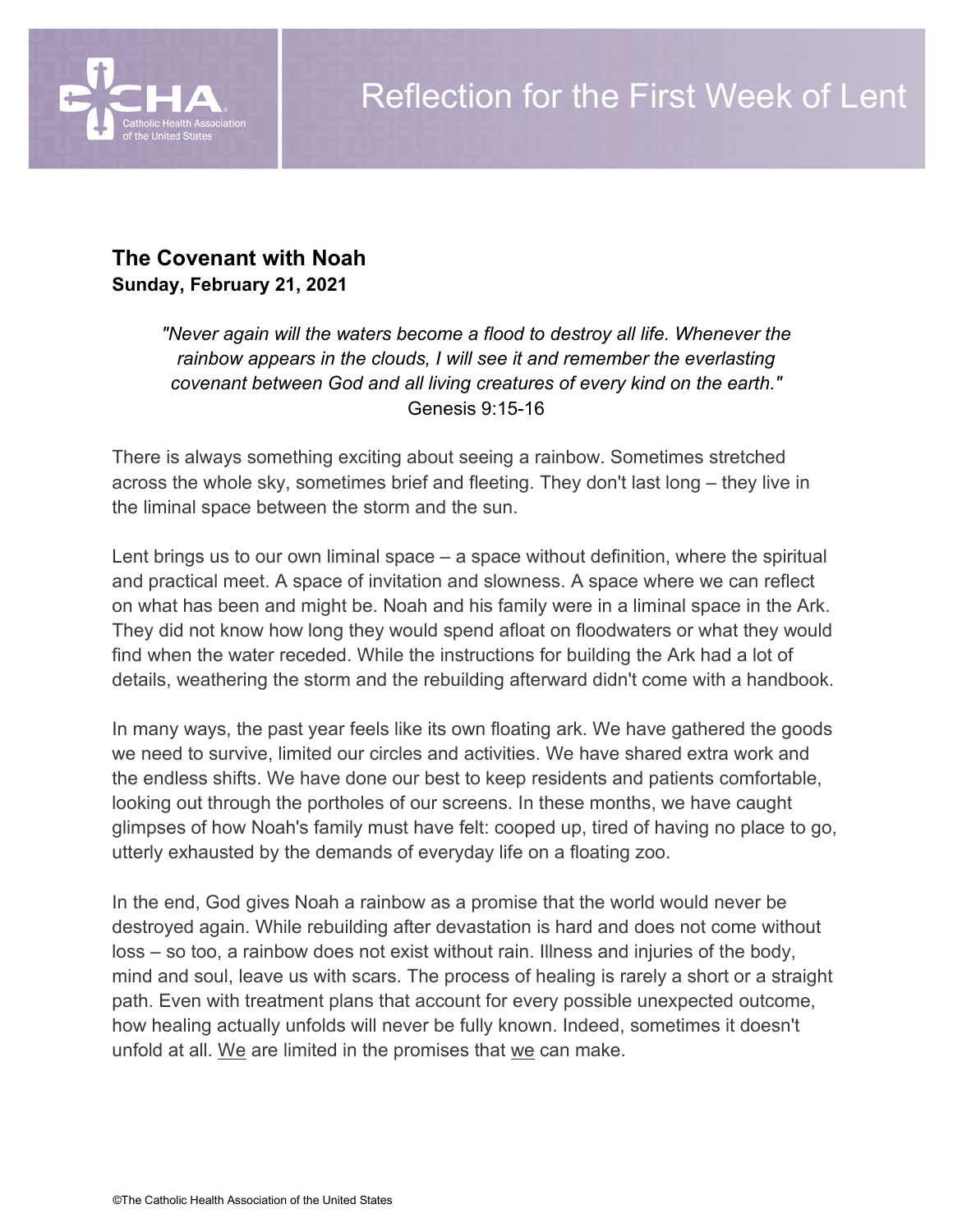

# **The Covenant with Noah Sunday, February 21, 2021**

*"Never again will the waters become a flood to destroy all life. Whenever the rainbow appears in the clouds, I will see it and remember the everlasting covenant between God and all living creatures of every kind on the earth."* Genesis 9:15-16

There is always something exciting about seeing a rainbow. Sometimes stretched across the whole sky, sometimes brief and fleeting. They don't last long – they live in the liminal space between the storm and the sun.

Lent brings us to our own liminal space – a space without definition, where the spiritual and practical meet. A space of invitation and slowness. A space where we can reflect on what has been and might be. Noah and his family were in a liminal space in the Ark. They did not know how long they would spend afloat on floodwaters or what they would find when the water receded. While the instructions for building the Ark had a lot of details, weathering the storm and the rebuilding afterward didn't come with a handbook.

In many ways, the past year feels like its own floating ark. We have gathered the goods we need to survive, limited our circles and activities. We have shared extra work and the endless shifts. We have done our best to keep residents and patients comfortable, looking out through the portholes of our screens. In these months, we have caught glimpses of how Noah's family must have felt: cooped up, tired of having no place to go, utterly exhausted by the demands of everyday life on a floating zoo.

In the end, God gives Noah a rainbow as a promise that the world would never be destroyed again. While rebuilding after devastation is hard and does not come without loss – so too, a rainbow does not exist without rain. Illness and injuries of the body, mind and soul, leave us with scars. The process of healing is rarely a short or a straight path. Even with treatment plans that account for every possible unexpected outcome, how healing actually unfolds will never be fully known. Indeed, sometimes it doesn't unfold at all. We are limited in the promises that we can make.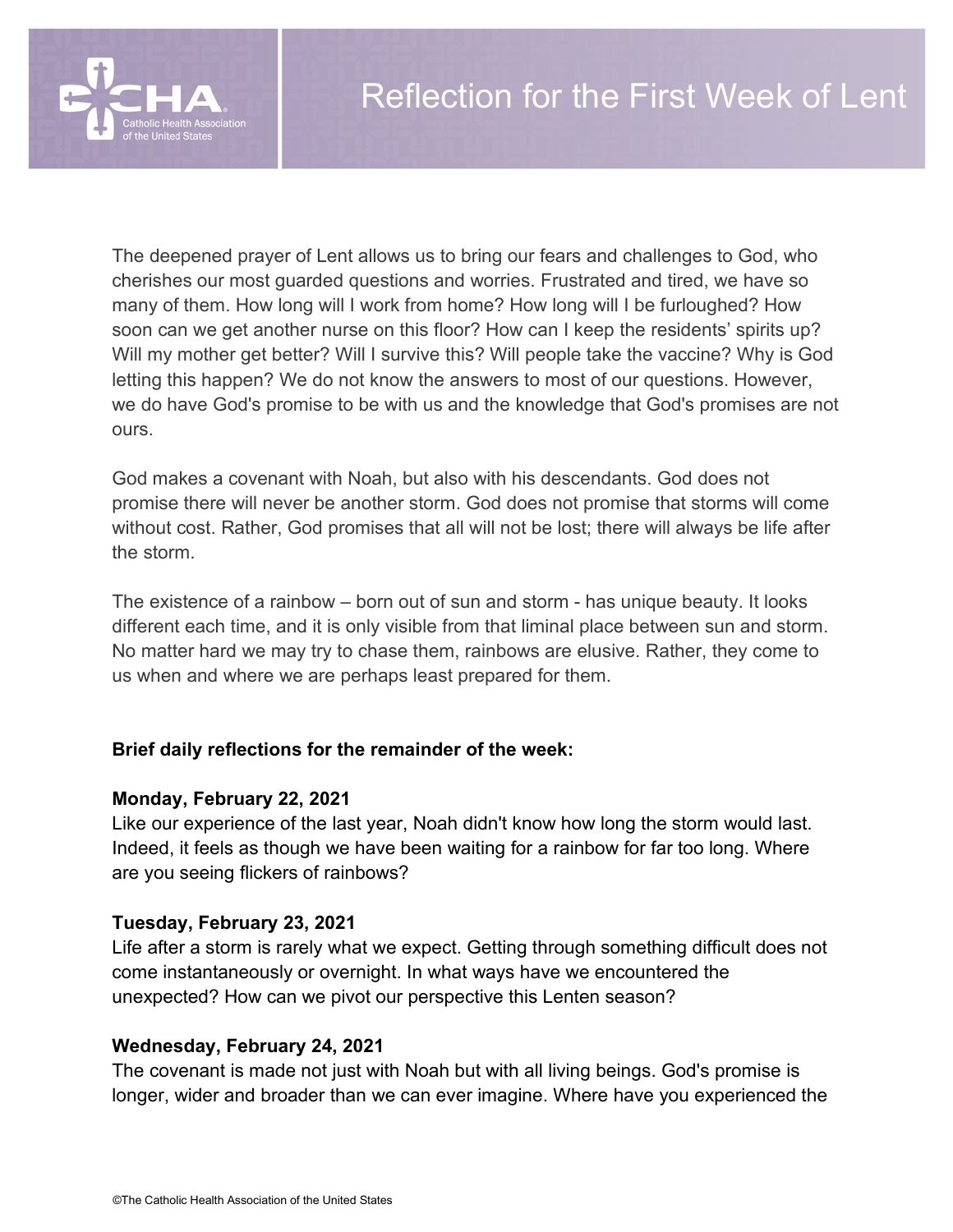

The deepened prayer of Lent allows us to bring our fears and challenges to God, who cherishes our most guarded questions and worries. Frustrated and tired, we have so many of them. How long will I work from home? How long will I be furloughed? How soon can we get another nurse on this floor? How can I keep the residents' spirits up? Will my mother get better? Will I survive this? Will people take the vaccine? Why is God letting this happen? We do not know the answers to most of our questions. However, we do have God's promise to be with us and the knowledge that God's promises are not ours.

God makes a covenant with Noah, but also with his descendants. God does not promise there will never be another storm. God does not promise that storms will come without cost. Rather, God promises that all will not be lost; there will always be life after the storm.

The existence of a rainbow – born out of sun and storm - has unique beauty. It looks different each time, and it is only visible from that liminal place between sun and storm. No matter hard we may try to chase them, rainbows are elusive. Rather, they come to us when and where we are perhaps least prepared for them.

## **Brief daily reflections for the remainder of the week:**

#### **Monday, February 22, 2021**

Like our experience of the last year, Noah didn't know how long the storm would last. Indeed, it feels as though we have been waiting for a rainbow for far too long. Where are you seeing flickers of rainbows?

#### **Tuesday, February 23, 2021**

Life after a storm is rarely what we expect. Getting through something difficult does not come instantaneously or overnight. In what ways have we encountered the unexpected? How can we pivot our perspective this Lenten season?

#### **Wednesday, February 24, 2021**

The covenant is made not just with Noah but with all living beings. God's promise is longer, wider and broader than we can ever imagine. Where have you experienced the